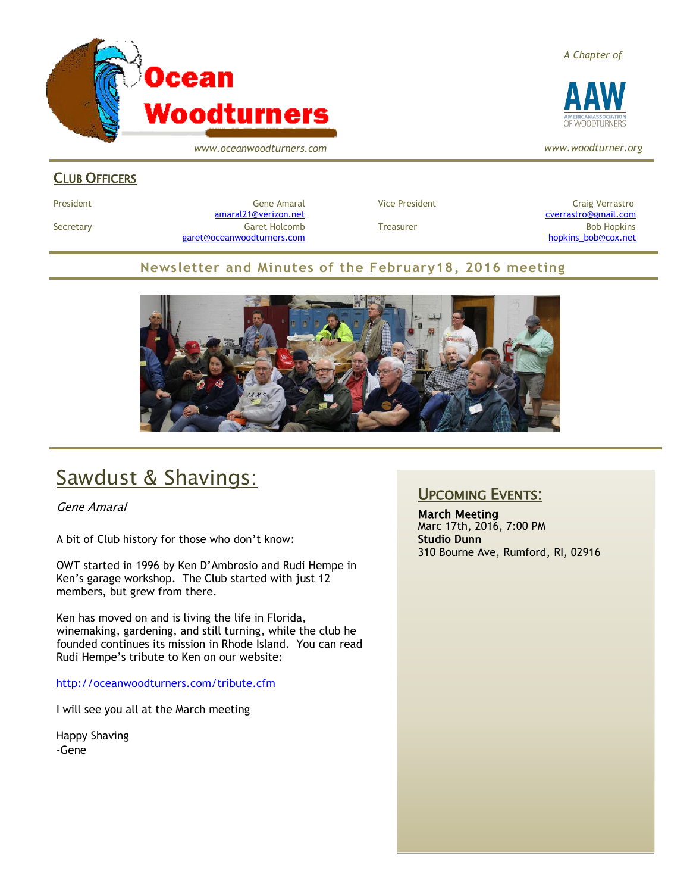

*www.oceanwoodturners.com*

#### *A Chapter of*



*www.woodturner.org*

#### CLUB OFFICERS

President Craig Verrastro Cene Amaral Cene Amaral Craig Verrastro Craig Verrastro [amaral21@verizon.net](mailto:amaral21@verizon.net) [cverrastro@gmail.com](mailto:cverrastro@gmail.com) Secretary Garet Holcomb Treasurer Bob Hopkins Bob Hopkins (Bob Hopkins Garet Holcomb [garet@oceanwoodturners.com](mailto:garet@oceanwoodturners.com) [hopkins\\_bob@cox.net](mailto:hopkins_bob@cox.net)

#### **Newsletter and Minutes of the February18, 2016 meeting**



## Sawdust & Shavings:

Gene Amaral

A bit of Club history for those who don't know:

OWT started in 1996 by Ken D'Ambrosio and Rudi Hempe in Ken's garage workshop. The Club started with just 12 members, but grew from there.

Ken has moved on and is living the life in Florida, winemaking, gardening, and still turning, while the club he founded continues its mission in Rhode Island. You can read Rudi Hempe's tribute to Ken on our website:

<http://oceanwoodturners.com/tribute.cfm>

I will see you all at the March meeting

Happy Shaving -Gene

#### UPCOMING EVENTS:

March Meeting Marc 17th, 2016, 7:00 PM **Studio Dunn** 310 Bourne Ave, Rumford, RI, 02916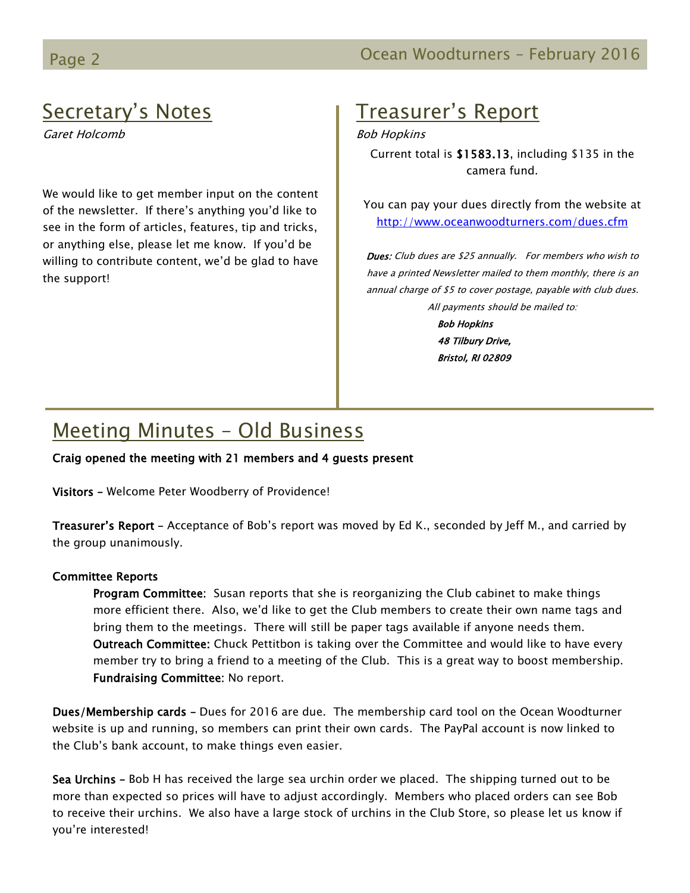### Secretary's Notes

Garet Holcomb

We would like to get member input on the content of the newsletter. If there's anything you'd like to see in the form of articles, features, tip and tricks, or anything else, please let me know. If you'd be willing to contribute content, we'd be glad to have the support!

## Treasurer's Report

Bob Hopkins

Current total is \$1583.13, including \$135 in the camera fund.

You can pay your dues directly from the website at <http://www.oceanwoodturners.com/dues.cfm>

Dues: Club dues are \$25 annually. For members who wish to have a printed Newsletter mailed to them monthly, there is an annual charge of \$5 to cover postage, payable with club dues. All payments should be mailed to:

> Bob Hopkins 48 Tilbury Drive, Bristol, RI 02809

# Meeting Minutes – Old Business

Craig opened the meeting with 21 members and 4 guests present

Visitors – Welcome Peter Woodberry of Providence!

Treasurer's Report – Acceptance of Bob's report was moved by Ed K., seconded by Jeff M., and carried by the group unanimously.

#### Committee Reports

Program Committee: Susan reports that she is reorganizing the Club cabinet to make things more efficient there. Also, we'd like to get the Club members to create their own name tags and bring them to the meetings. There will still be paper tags available if anyone needs them. Outreach Committee: Chuck Pettitbon is taking over the Committee and would like to have every member try to bring a friend to a meeting of the Club. This is a great way to boost membership. Fundraising Committee: No report.

Dues/Membership cards – Dues for 2016 are due. The membership card tool on the Ocean Woodturner website is up and running, so members can print their own cards. The PayPal account is now linked to the Club's bank account, to make things even easier.

Sea Urchins – Bob H has received the large sea urchin order we placed. The shipping turned out to be more than expected so prices will have to adjust accordingly. Members who placed orders can see Bob to receive their urchins. We also have a large stock of urchins in the Club Store, so please let us know if you're interested!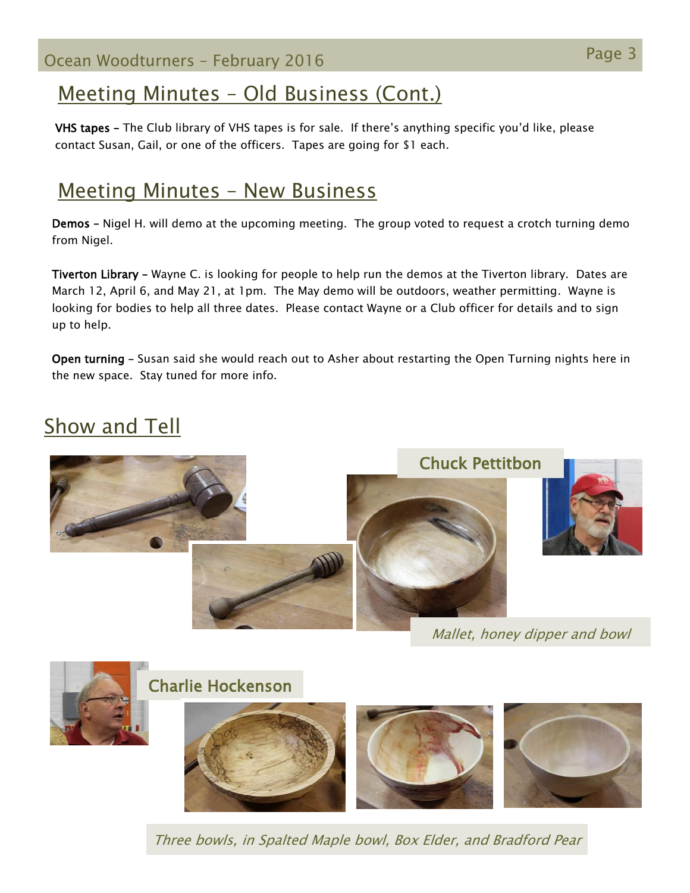Page 3 Ocean Woodturners – February <sup>2016</sup>

### Meeting Minutes – Old Business (Cont.)

VHS tapes – The Club library of VHS tapes is for sale. If there's anything specific you'd like, please contact Susan, Gail, or one of the officers. Tapes are going for \$1 each.

### Meeting Minutes – New Business

Demos – Nigel H. will demo at the upcoming meeting. The group voted to request a crotch turning demo from Nigel.

Tiverton Library – Wayne C. is looking for people to help run the demos at the Tiverton library. Dates are March 12, April 6, and May 21, at 1pm. The May demo will be outdoors, weather permitting. Wayne is looking for bodies to help all three dates. Please contact Wayne or a Club officer for details and to sign up to help.

Open turning – Susan said she would reach out to Asher about restarting the Open Turning nights here in the new space. Stay tuned for more info.

# Show and Tell



Mallet, honey dipper and bowl



Three bowls, in Spalted Maple bowl, Box Elder, and Bradford Pear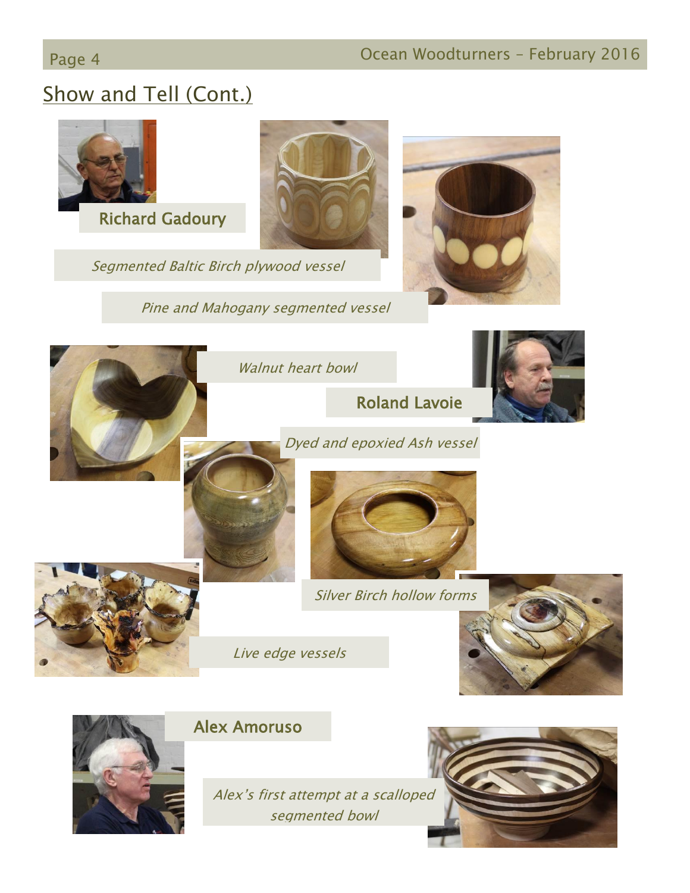# Page 4 **Detail Community Community** Ocean Woodturners – February 2016

# Show and Tell (Cont.)



Alex's first attempt at a scalloped segmented bowl

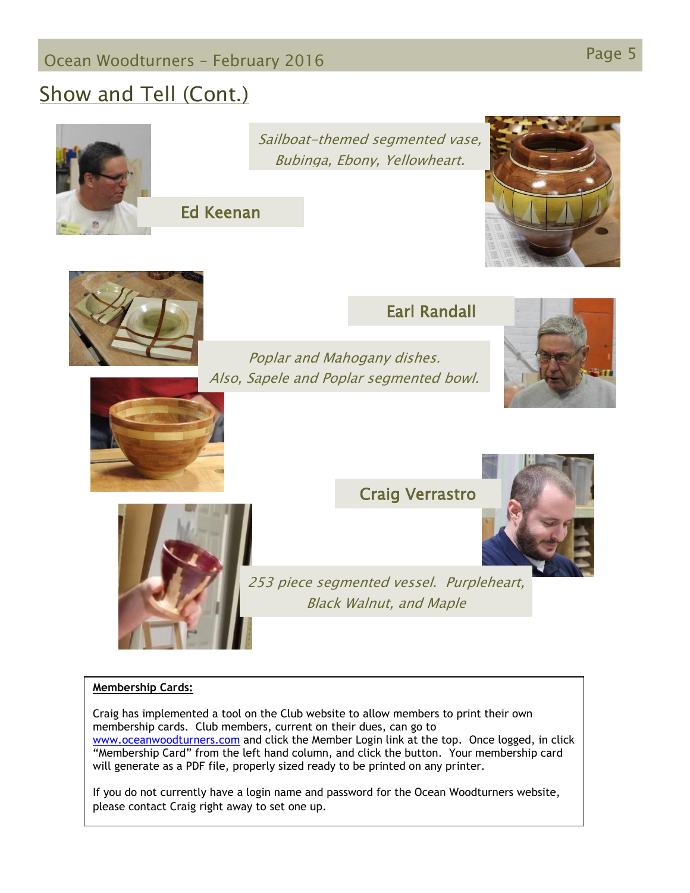# Page 5 Ocean Woodturners – February <sup>2016</sup>

## Show and Tell (Cont.)



Sailboat-themed segmented vase, Bubinga, Ebony, Yellowheart.

Ed Keenan







Poplar and Mahogany dishes. Also, Sapele and Poplar segmented bowl.





#### Craig Verrastro



253 piece segmented vessel. Purpleheart, Black Walnut, and Maple

#### **Membership Cards:**

Craig has implemented a tool on the Club website to allow members to print their own membership cards. Club members, current on their dues, can go to [www.oceanwoodturners.com](http://www.oceanwoodturners.com/) and click the Member Login link at the top. Once logged, in click "Membership Card" from the left hand column, and click the button. Your membership card will generate as a PDF file, properly sized ready to be printed on any printer.

If you do not currently have a login name and password for the Ocean Woodturners website, please contact Craig right away to set one up.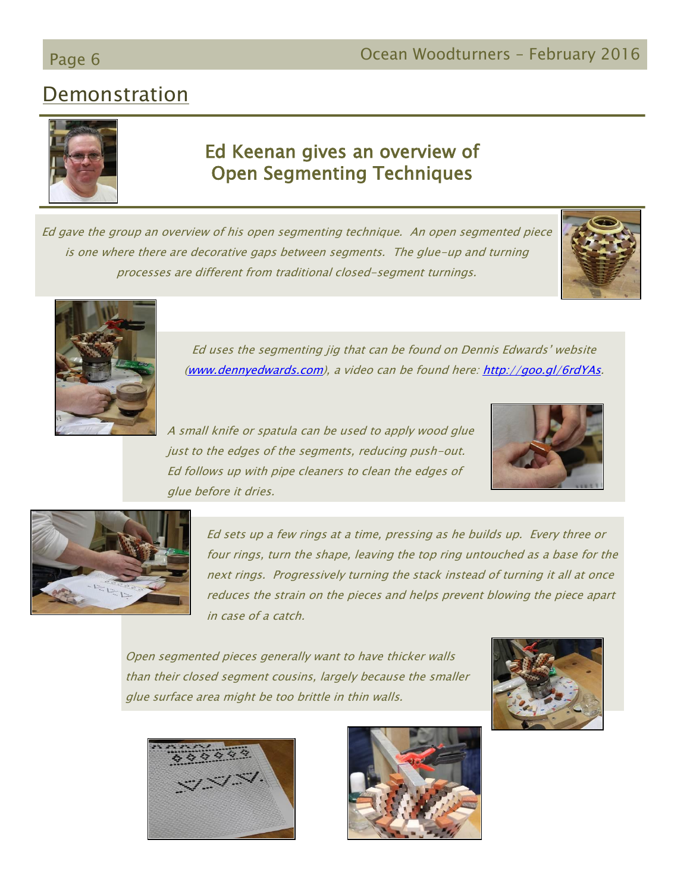### Demonstration



### Ed Keenan gives an overview of Open Segmenting Techniques

Ed gave the group an overview of his open segmenting technique. An open segmented piece is one where there are decorative gaps between segments. The glue-up and turning processes are different from traditional closed-segment turnings.





Ed uses the segmenting jig that can be found on Dennis Edwards' website [\(www.dennyedwards.com\)](http://www.dennyedwards.com/), a video can be found here: [http://goo.gl/6rdYAs.](http://goo.gl/6rdYAs)

A small knife or spatula can be used to apply wood glue just to the edges of the segments, reducing push-out. Ed follows up with pipe cleaners to clean the edges of glue before it dries.





Ed sets up a few rings at a time, pressing as he builds up. Every three or four rings, turn the shape, leaving the top ring untouched as a base for the next rings. Progressively turning the stack instead of turning it all at once reduces the strain on the pieces and helps prevent blowing the piece apart in case of a catch.

Open segmented pieces generally want to have thicker walls than their closed segment cousins, largely because the smaller glue surface area might be too brittle in thin walls.